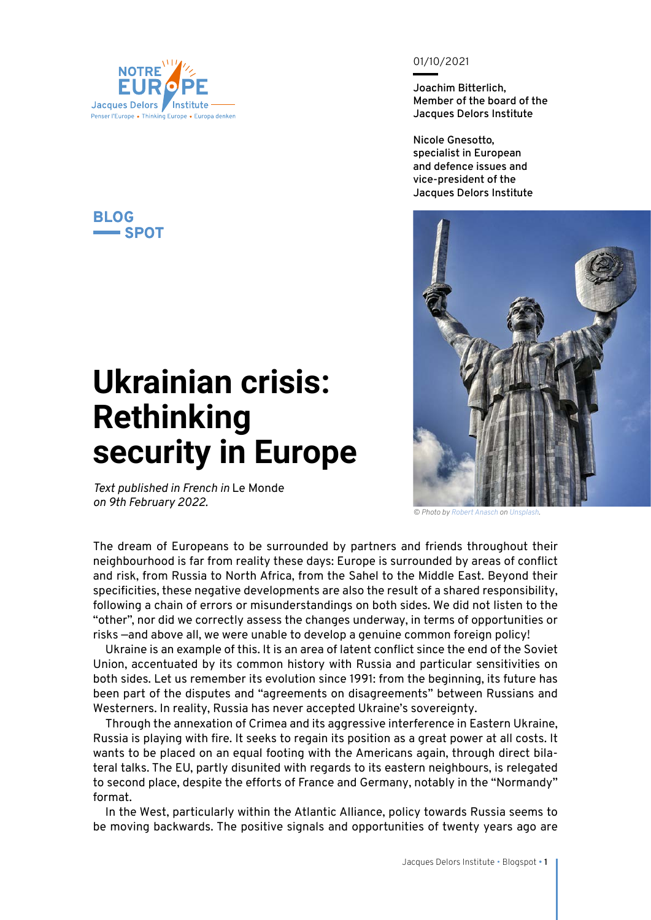

## **BLOG**  $\equiv$ SPOT

## **Ukrainian crisis: Rethinking security in Europe**

*Text published in French in* Le Monde *on 9th February 2022.*

01/10/2021

**Joachim Bitterlich, Member of the board of the Jacques Delors Institute**

**Nicole Gnesotto, specialist in European and defence issues and vice-president of the Jacques Delors Institute**



*© Photo by [Robert Anasch](https://unsplash.com/@diesektion?utm_source=unsplash&utm_medium=referral&utm_content=creditCopyText) on [Unsplash.](https://unsplash.com/?utm_source=unsplash&utm_medium=referral&utm_content=creditCopyText)*

The dream of Europeans to be surrounded by partners and friends throughout their neighbourhood is far from reality these days: Europe is surrounded by areas of conflict and risk, from Russia to North Africa, from the Sahel to the Middle East. Beyond their specificities, these negative developments are also the result of a shared responsibility, following a chain of errors or misunderstandings on both sides. We did not listen to the "other", nor did we correctly assess the changes underway, in terms of opportunities or risks —and above all, we were unable to develop a genuine common foreign policy!

Ukraine is an example of this. It is an area of latent conflict since the end of the Soviet Union, accentuated by its common history with Russia and particular sensitivities on both sides. Let us remember its evolution since 1991: from the beginning, its future has been part of the disputes and "agreements on disagreements" between Russians and Westerners. In reality, Russia has never accepted Ukraine's sovereignty.

Through the annexation of Crimea and its aggressive interference in Eastern Ukraine, Russia is playing with fire. It seeks to regain its position as a great power at all costs. It wants to be placed on an equal footing with the Americans again, through direct bilateral talks. The EU, partly disunited with regards to its eastern neighbours, is relegated to second place, despite the efforts of France and Germany, notably in the "Normandy" format.

In the West, particularly within the Atlantic Alliance, policy towards Russia seems to be moving backwards. The positive signals and opportunities of twenty years ago are